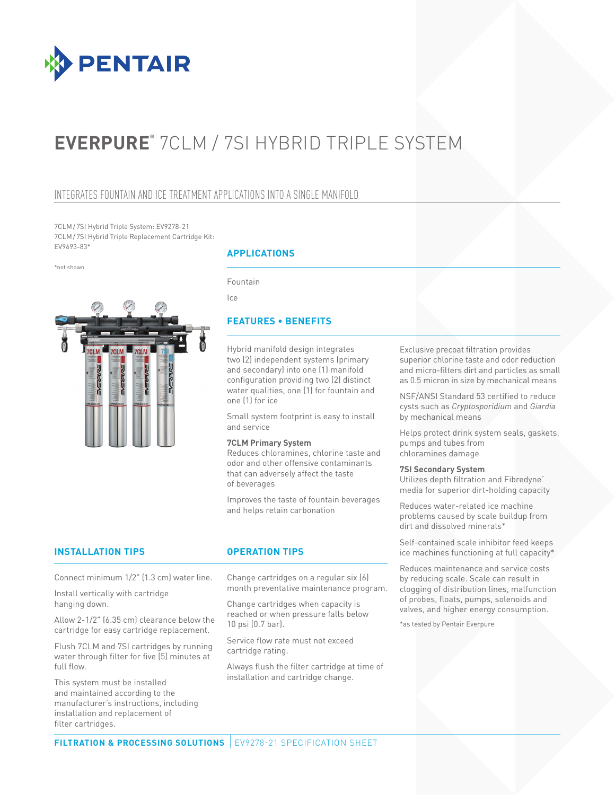

# **EVERPURE®** 7CLM / 7SI HYBRID TRIPLE SYSTEM

# INTEGRATES FOUNTAIN AND ICE TREATMENT APPLICATIONS INTO A SINGLE MANIFOLD

7CLM/7SI Hybrid Triple System: EV9278-21 7CLM/7SI Hybrid Triple Replacement Cartridge Kit: EV9693-83\*

\*not shown



# **APPLICATIONS**

Fountain

Ice

# **FEATURES • BENEFITS**

Hybrid manifold design integrates two (2) independent systems (primary and secondary) into one (1) manifold configuration providing two (2) distinct water qualities, one (1) for fountain and one (1) for ice

Small system footprint is easy to install and service

### **7CLM Primary System**

Reduces chloramines, chlorine taste and odor and other offensive contaminants that can adversely affect the taste of beverages

Improves the taste of fountain beverages and helps retain carbonation

# **INSTALLATION TIPS OPERATION TIPS**

Connect minimum 1/2" (1.3 cm) water line.

Install vertically with cartridge hanging down.

Allow 2-1/2" (6.35 cm) clearance below the cartridge for easy cartridge replacement.

Flush 7CLM and 7SI cartridges by running water through filter for five (5) minutes at full flow.

This system must be installed and maintained according to the manufacturer's instructions, including installation and replacement of filter cartridges.

Change cartridges on a regular six (6) month preventative maintenance program.

Change cartridges when capacity is reached or when pressure falls below 10 psi (0.7 bar).

Service flow rate must not exceed cartridge rating.

Always flush the filter cartridge at time of installation and cartridge change.

Exclusive precoat filtration provides superior chlorine taste and odor reduction and micro-filters dirt and particles as small as 0.5 micron in size by mechanical means

NSF/ANSI Standard 53 certified to reduce cysts such as *Cryptosporidium* and *Giardia* by mechanical means

Helps protect drink system seals, gaskets, pumps and tubes from chloramines damage

### **7SI Secondary System**

Utilizes depth filtration and Fibredyne™ media for superior dirt-holding capacity

Reduces water-related ice machine problems caused by scale buildup from dirt and dissolved minerals\*

Self-contained scale inhibitor feed keeps ice machines functioning at full capacity\*

Reduces maintenance and service costs by reducing scale. Scale can result in clogging of distribution lines, malfunction of probes, floats, pumps, solenoids and valves, and higher energy consumption.

\*as tested by Pentair Everpure